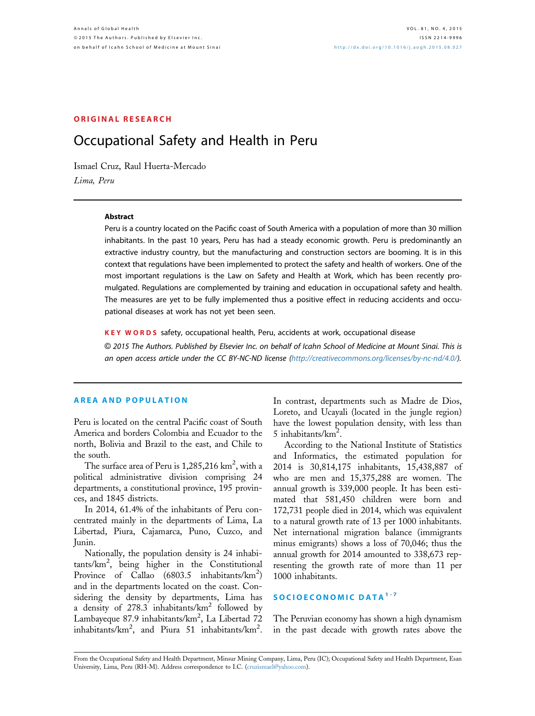# ORIGINAL RESEARCH

# Occupational Safety and Health in Peru

Ismael Cruz, Raul Huerta-Mercado Lima, Peru

#### Abstract

Peru is a country located on the Pacific coast of South America with a population of more than 30 million inhabitants. In the past 10 years, Peru has had a steady economic growth. Peru is predominantly an extractive industry country, but the manufacturing and construction sectors are booming. It is in this context that regulations have been implemented to protect the safety and health of workers. One of the most important regulations is the Law on Safety and Health at Work, which has been recently promulgated. Regulations are complemented by training and education in occupational safety and health. The measures are yet to be fully implemented thus a positive effect in reducing accidents and occupational diseases at work has not yet been seen.

KEY WORDS safety, occupational health, Peru, accidents at work, occupational disease

© 2015 The Authors. Published by Elsevier Inc. on behalf of Icahn School of Medicine at Mount Sinai. This is an open access article under the CC BY-NC-ND license ([http://creativecommons.org/licenses/by-nc-nd/4.0/](http://creativecommons.org/licenses/by-nc-nd/4.�0/)).

#### AREA AND POPULATION

Peru is located on the central Pacific coast of South America and borders Colombia and Ecuador to the north, Bolivia and Brazil to the east, and Chile to the south.

The surface area of Peru is  $1{,}285{,}216 \text{ km}^2 \text{, with a}$ political administrative division comprising 24 departments, a constitutional province, 195 provinces, and 1845 districts.

In 2014, 61.4% of the inhabitants of Peru concentrated mainly in the departments of Lima, La Libertad, Piura, Cajamarca, Puno, Cuzco, and Junin.

Nationally, the population density is 24 inhabitants/km<sup>2</sup> , being higher in the Constitutional Province of Callao  $(6803.5 \text{ inhabitants/km}^2)$ and in the departments located on the coast. Considering the density by departments, Lima has a density of  $278.3$  inhabitants/ $km^2$  followed by Lambayeque 87.9 inhabitants/km<sup>2</sup>, La Libertad 72 inhabitants/ $km^2$ , and Piura 51 inhabitants/ $km^2$ .

In contrast, departments such as Madre de Dios, Loreto, and Ucayali (located in the jungle region) have the lowest population density, with less than 5 inhabitants/ $km^2$ .

According to the National Institute of Statistics and Informatics, the estimated population for 2014 is 30,814,175 inhabitants, 15,438,887 of who are men and 15,375,288 are women. The annual growth is 339,000 people. It has been estimated that 581,450 children were born and 172,731 people died in 2014, which was equivalent to a natural growth rate of 13 per 1000 inhabitants. Net international migration balance (immigrants minus emigrants) shows a loss of 70,046; thus the annual growth for 2014 amounted to 338,673 representing the growth rate of more than 11 per 1000 inhabitants.

# SOCIOECONOMIC DATA<sup>[1-7](#page-7-0)</sup>

The Peruvian economy has shown a high dynamism in the past decade with growth rates above the

From the Occupational Safety and Health Department, Minsur Mining Company, Lima, Peru (IC); Occupational Safety and Health Department, Esan University, Lima, Peru (RH-M). Address correspondence to I.C. [\(cruzismael@yahoo.com\)](mailto:cruzismael@yahoo.com).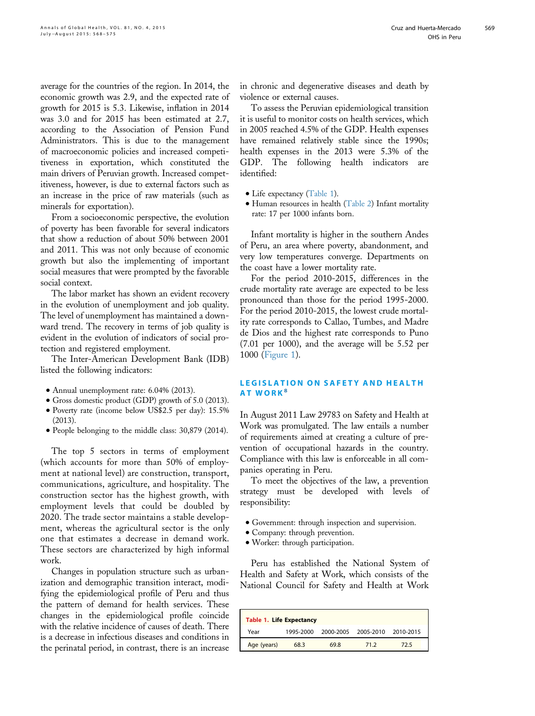average for the countries of the region. In 2014, the economic growth was 2.9, and the expected rate of growth for 2015 is 5.3. Likewise, inflation in 2014 was 3.0 and for 2015 has been estimated at 2.7, according to the Association of Pension Fund Administrators. This is due to the management of macroeconomic policies and increased competitiveness in exportation, which constituted the main drivers of Peruvian growth. Increased competitiveness, however, is due to external factors such as an increase in the price of raw materials (such as minerals for exportation).

From a socioeconomic perspective, the evolution of poverty has been favorable for several indicators that show a reduction of about 50% between 2001 and 2011. This was not only because of economic growth but also the implementing of important social measures that were prompted by the favorable social context.

The labor market has shown an evident recovery in the evolution of unemployment and job quality. The level of unemployment has maintained a downward trend. The recovery in terms of job quality is evident in the evolution of indicators of social protection and registered employment.

The Inter-American Development Bank (IDB) listed the following indicators:

- $\bullet$  Annual unemployment rate: 6.04% (2013).
- Gross domestic product (GDP) growth of 5.0 (2013).
- <sup>d</sup> Poverty rate (income below US\$2.5 per day): 15.5% (2013).
- <sup>d</sup> People belonging to the middle class: 30,879 (2014).

The top 5 sectors in terms of employment (which accounts for more than 50% of employment at national level) are construction, transport, communications, agriculture, and hospitality. The construction sector has the highest growth, with employment levels that could be doubled by 2020. The trade sector maintains a stable development, whereas the agricultural sector is the only one that estimates a decrease in demand work. These sectors are characterized by high informal work.

Changes in population structure such as urbanization and demographic transition interact, modifying the epidemiological profile of Peru and thus the pattern of demand for health services. These changes in the epidemiological profile coincide with the relative incidence of causes of death. There is a decrease in infectious diseases and conditions in the perinatal period, in contrast, there is an increase

To assess the Peruvian epidemiological transition it is useful to monitor costs on health services, which in 2005 reached 4.5% of the GDP. Health expenses have remained relatively stable since the 1990s; health expenses in the 2013 were 5.3% of the GDP. The following health indicators are identified:

- Life expectancy (Table 1).
- <sup>d</sup> Human resources in health [\(Table 2](#page-2-0)) Infant mortality rate: 17 per 1000 infants born.

Infant mortality is higher in the southern Andes of Peru, an area where poverty, abandonment, and very low temperatures converge. Departments on the coast have a lower mortality rate.

For the period 2010-2015, differences in the crude mortality rate average are expected to be less pronounced than those for the period 1995-2000. For the period 2010-2015, the lowest crude mortality rate corresponds to Callao, Tumbes, and Madre de Dios and the highest rate corresponds to Puno (7.01 per 1000), and the average will be 5.52 per 1000 ([Figure 1](#page-2-0)).

# LEGISLATION ON SAFETY AND HEALTH **AT WORK<sup>[8](#page-7-0)</sup>**

In August 2011 Law 29783 on Safety and Health at Work was promulgated. The law entails a number of requirements aimed at creating a culture of prevention of occupational hazards in the country. Compliance with this law is enforceable in all companies operating in Peru.

To meet the objectives of the law, a prevention strategy must be developed with levels of responsibility:

- <sup>d</sup> Government: through inspection and supervision.
- <sup>d</sup> Company: through prevention.
- <sup>d</sup> Worker: through participation.

Peru has established the National System of Health and Safety at Work, which consists of the National Council for Safety and Health at Work

| <b>Table 1. Life Expectancy</b> |           |                     |      |           |
|---------------------------------|-----------|---------------------|------|-----------|
| Year                            | 1995-2000 | 2000-2005 2005-2010 |      | 2010-2015 |
| Age (years)                     | 68.3      | 69.8                | 71.2 | 72.5      |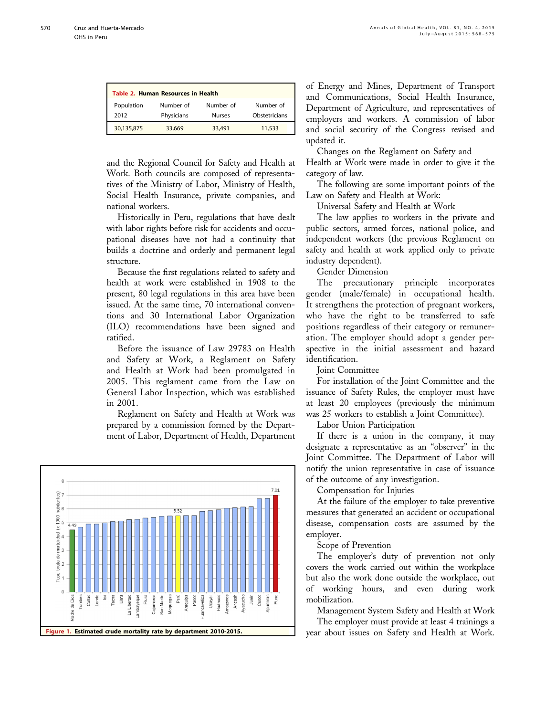<span id="page-2-0"></span>

| Table 2. Human Resources in Health |                         |                            |                            |  |
|------------------------------------|-------------------------|----------------------------|----------------------------|--|
| Population<br>2012                 | Number of<br>Physicians | Number of<br><b>Nurses</b> | Number of<br>Obstetricians |  |
| 30,135,875                         | 33,669                  | 33,491                     | 11,533                     |  |

and the Regional Council for Safety and Health at Work. Both councils are composed of representatives of the Ministry of Labor, Ministry of Health, Social Health Insurance, private companies, and national workers.

Historically in Peru, regulations that have dealt with labor rights before risk for accidents and occupational diseases have not had a continuity that builds a doctrine and orderly and permanent legal structure.

Because the first regulations related to safety and health at work were established in 1908 to the present, 80 legal regulations in this area have been issued. At the same time, 70 international conventions and 30 International Labor Organization (ILO) recommendations have been signed and ratified.

Before the issuance of Law 29783 on Health and Safety at Work, a Reglament on Safety and Health at Work had been promulgated in 2005. This reglament came from the Law on General Labor Inspection, which was established in 2001.

Reglament on Safety and Health at Work was prepared by a commission formed by the Department of Labor, Department of Health, Department



of Energy and Mines, Department of Transport and Communications, Social Health Insurance, Department of Agriculture, and representatives of employers and workers. A commission of labor and social security of the Congress revised and updated it.

Changes on the Reglament on Safety and

Health at Work were made in order to give it the category of law.

The following are some important points of the Law on Safety and Health at Work:

Universal Safety and Health at Work

The law applies to workers in the private and public sectors, armed forces, national police, and independent workers (the previous Reglament on safety and health at work applied only to private industry dependent).

Gender Dimension

The precautionary principle incorporates gender (male/female) in occupational health. It strengthens the protection of pregnant workers, who have the right to be transferred to safe positions regardless of their category or remuneration. The employer should adopt a gender perspective in the initial assessment and hazard identification.

Joint Committee

For installation of the Joint Committee and the issuance of Safety Rules, the employer must have at least 20 employees (previously the minimum was 25 workers to establish a Joint Committee).

Labor Union Participation

If there is a union in the company, it may designate a representative as an "observer" in the Joint Committee. The Department of Labor will notify the union representative in case of issuance of the outcome of any investigation.

Compensation for Injuries

At the failure of the employer to take preventive measures that generated an accident or occupational disease, compensation costs are assumed by the employer.

Scope of Prevention

The employer's duty of prevention not only covers the work carried out within the workplace but also the work done outside the workplace, out of working hours, and even during work mobilization.

Management System Safety and Health at Work The employer must provide at least 4 trainings a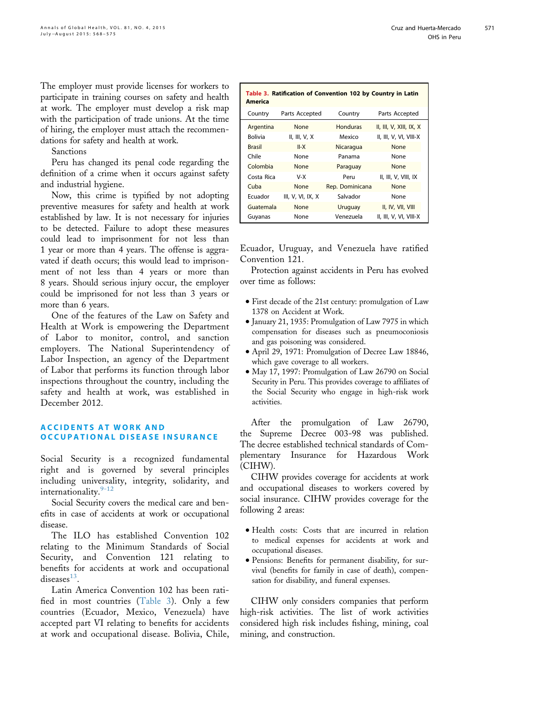The employer must provide licenses for workers to participate in training courses on safety and health at work. The employer must develop a risk map with the participation of trade unions. At the time of hiring, the employer must attach the recommendations for safety and health at work.

Sanctions

Peru has changed its penal code regarding the definition of a crime when it occurs against safety and industrial hygiene.

Now, this crime is typified by not adopting preventive measures for safety and health at work established by law. It is not necessary for injuries to be detected. Failure to adopt these measures could lead to imprisonment for not less than 1 year or more than 4 years. The offense is aggravated if death occurs; this would lead to imprisonment of not less than 4 years or more than 8 years. Should serious injury occur, the employer could be imprisoned for not less than 3 years or more than 6 years.

One of the features of the Law on Safety and Health at Work is empowering the Department of Labor to monitor, control, and sanction employers. The National Superintendency of Labor Inspection, an agency of the Department of Labor that performs its function through labor inspections throughout the country, including the safety and health at work, was established in December 2012.

#### ACCIDENTS AT WORK AND OCCUPATIONAL DISEASE INSURANCE

Social Security is a recognized fundamental right and is governed by several principles including universality, integrity, solidarity, and internationality.<sup>[9-12](#page-7-0)</sup>

Social Security covers the medical care and benefits in case of accidents at work or occupational disease.

The ILO has established Convention 102 relating to the Minimum Standards of Social Security, and Convention 121 relating to benefits for accidents at work and occupational diseases $^{13}$  $^{13}$  $^{13}$ .

Latin America Convention 102 has been ratified in most countries (Table 3). Only a few countries (Ecuador, Mexico, Venezuela) have accepted part VI relating to benefits for accidents at work and occupational disease. Bolivia, Chile,

| Table 3. Ratification of Convention 102 by Country in Latin<br>America |                     |                 |                         |
|------------------------------------------------------------------------|---------------------|-----------------|-------------------------|
| Country                                                                | Parts Accepted      | Country         | Parts Accepted          |
| Argentina                                                              | None                | <b>Honduras</b> | II, III, V, XIII, IX, X |
| Bolivia                                                                | II, III, $V$ , $X$  | Mexico          | II, III, V, VI, VIII-X  |
| <b>Brasil</b>                                                          | $II-X$              | Nicaragua       | None                    |
| Chile                                                                  | None                | Panama          | None                    |
| Colombia                                                               | None                | Paraguay        | None                    |
| Costa Rica                                                             | V-X                 | Peru            | II, III, V, VIII, IX    |
| Cuba                                                                   | None                | Rep. Dominicana | None                    |
| Ecuador                                                                | III, V, VI, IX, $X$ | Salvador        | None                    |
| Guatemala                                                              | <b>None</b>         | Uruguay         | II, IV, VII, VIII       |
| Guyanas                                                                | None                | Venezuela       | II, III, V, VI, VIII-X  |

Ecuador, Uruguay, and Venezuela have ratified Convention 121.

Protection against accidents in Peru has evolved over time as follows:

- <sup>d</sup> First decade of the 21st century: promulgation of Law 1378 on Accident at Work.
- <sup>d</sup> January 21, 1935: Promulgation of Law 7975 in which compensation for diseases such as pneumoconiosis and gas poisoning was considered.
- <sup>d</sup> April 29, 1971: Promulgation of Decree Law 18846, which gave coverage to all workers.
- $\bullet$  May 17, 1997: Promulgation of Law 26790 on Social Security in Peru. This provides coverage to affiliates of the Social Security who engage in high-risk work activities.

After the promulgation of Law 26790, the Supreme Decree 003-98 was published. The decree established technical standards of Complementary Insurance for Hazardous Work (CIHW).

CIHW provides coverage for accidents at work and occupational diseases to workers covered by social insurance. CIHW provides coverage for the following 2 areas:

- Health costs: Costs that are incurred in relation to medical expenses for accidents at work and occupational diseases.
- <sup>d</sup> Pensions: Benefits for permanent disability, for survival (benefits for family in case of death), compensation for disability, and funeral expenses.

CIHW only considers companies that perform high-risk activities. The list of work activities considered high risk includes fishing, mining, coal mining, and construction.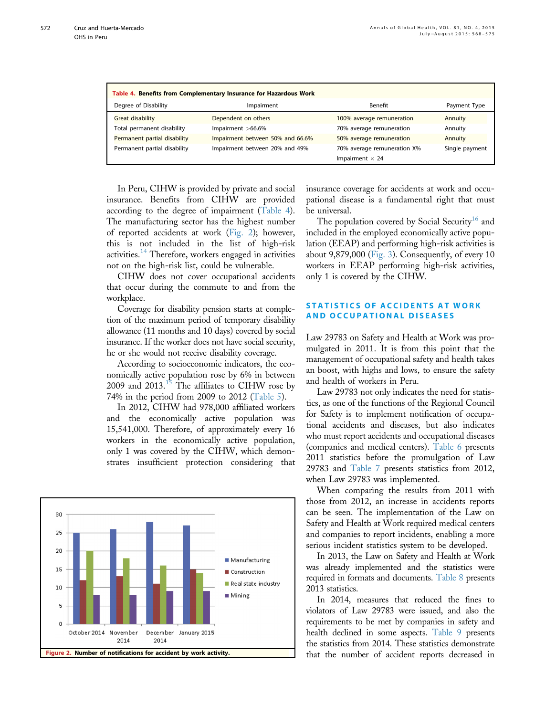| Table 4. Benefits from Complementary Insurance for Hazardous Work |                                  |                                                       |                |  |
|-------------------------------------------------------------------|----------------------------------|-------------------------------------------------------|----------------|--|
| Degree of Disability                                              | Impairment                       | Benefit                                               | Payment Type   |  |
| <b>Great disability</b>                                           | Dependent on others              | 100% average remuneration                             | Annuity        |  |
| Total permanent disability                                        | Impairment $>66.6\%$             | 70% average remuneration                              | Annuity        |  |
| Permanent partial disability                                      | Impairment between 50% and 66.6% | 50% average remuneration                              | Annuity        |  |
| Permanent partial disability                                      | Impairment between 20% and 49%   | 70% average remuneration X%<br>Impairment $\times$ 24 | Single payment |  |

In Peru, CIHW is provided by private and social insurance. Benefits from CIHW are provided according to the degree of impairment (Table 4). The manufacturing sector has the highest number of reported accidents at work (Fig. 2); however, this is not included in the list of high-risk activities[.14](#page-7-0) Therefore, workers engaged in activities not on the high-risk list, could be vulnerable.

CIHW does not cover occupational accidents that occur during the commute to and from the workplace.

Coverage for disability pension starts at completion of the maximum period of temporary disability allowance (11 months and 10 days) covered by social insurance. If the worker does not have social security, he or she would not receive disability coverage.

According to socioeconomic indicators, the economically active population rose by 6% in between 2009 and  $2013$ .<sup>[15](#page-7-0)</sup> The affiliates to CIHW rose by 74% in the period from 2009 to 2012 ([Table 5\)](#page-5-0).

In 2012, CIHW had 978,000 affiliated workers and the economically active population was 15,541,000. Therefore, of approximately every 16 workers in the economically active population, only 1 was covered by the CIHW, which demonstrates insufficient protection considering that



insurance coverage for accidents at work and occupational disease is a fundamental right that must be universal.

The population covered by Social Security<sup>[16](#page-7-0)</sup> and included in the employed economically active population (EEAP) and performing high-risk activities is about 9,879,000 ([Fig. 3](#page-5-0)). Consequently, of every 10 workers in EEAP performing high-risk activities, only 1 is covered by the CIHW.

# STATISTICS OF ACCIDENTS AT WORK AND OCCUPATIONAL DISEASES

Law 29783 on Safety and Health at Work was promulgated in 2011. It is from this point that the management of occupational safety and health takes an boost, with highs and lows, to ensure the safety and health of workers in Peru.

Law 29783 not only indicates the need for statistics, as one of the functions of the Regional Council for Safety is to implement notification of occupational accidents and diseases, but also indicates who must report accidents and occupational diseases (companies and medical centers). [Table 6](#page-6-0) presents 2011 statistics before the promulgation of Law 29783 and [Table 7](#page-6-0) presents statistics from 2012, when Law 29783 was implemented.

When comparing the results from 2011 with those from 2012, an increase in accidents reports can be seen. The implementation of the Law on Safety and Health at Work required medical centers and companies to report incidents, enabling a more serious incident statistics system to be developed.

In 2013, the Law on Safety and Health at Work was already implemented and the statistics were required in formats and documents. [Table 8](#page-6-0) presents 2013 statistics.

In 2014, measures that reduced the fines to violators of Law 29783 were issued, and also the requirements to be met by companies in safety and health declined in some aspects. [Table 9](#page-6-0) presents the statistics from 2014. These statistics demonstrate that the number of accident reports decreased in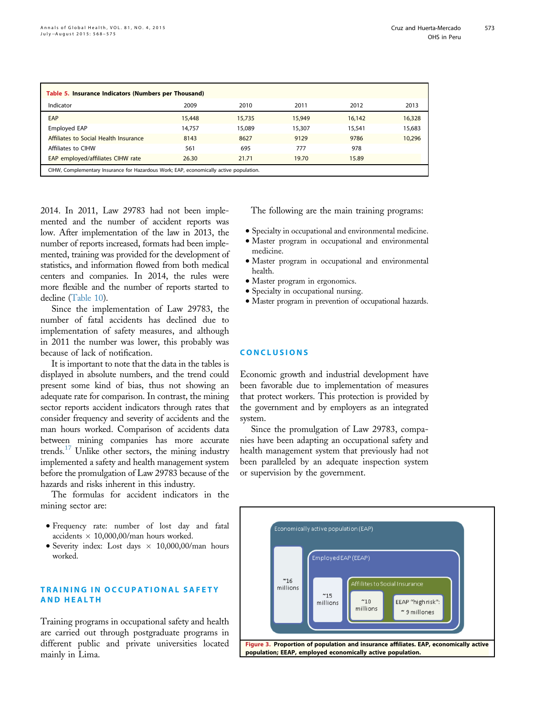<span id="page-5-0"></span>

| Table 5. Insurance Indicators (Numbers per Thousand)                                   |        |        |        |        |        |
|----------------------------------------------------------------------------------------|--------|--------|--------|--------|--------|
| Indicator                                                                              | 2009   | 2010   | 2011   | 2012   | 2013   |
| EAP                                                                                    | 15,448 | 15.735 | 15,949 | 16,142 | 16,328 |
| Employed EAP                                                                           | 14,757 | 15,089 | 15,307 | 15,541 | 15,683 |
| Affiliates to Social Health Insurance                                                  | 8143   | 8627   | 9129   | 9786   | 10,296 |
| Affiliates to CIHW                                                                     | 561    | 695    | 777    | 978    |        |
| EAP employed/affiliates CIHW rate<br>26.30<br>15.89<br>21.71<br>19.70                  |        |        |        |        |        |
| CIHW, Complementary Insurance for Hazardous Work; EAP, economically active population. |        |        |        |        |        |

2014. In 2011, Law 29783 had not been implemented and the number of accident reports was low. After implementation of the law in 2013, the number of reports increased, formats had been implemented, training was provided for the development of statistics, and information flowed from both medical centers and companies. In 2014, the rules were more flexible and the number of reports started to decline ([Table 10\)](#page-6-0).

Since the implementation of Law 29783, the number of fatal accidents has declined due to implementation of safety measures, and although in 2011 the number was lower, this probably was because of lack of notification.

It is important to note that the data in the tables is displayed in absolute numbers, and the trend could present some kind of bias, thus not showing an adequate rate for comparison. In contrast, the mining sector reports accident indicators through rates that consider frequency and severity of accidents and the man hours worked. Comparison of accidents data between mining companies has more accurate trends. $17$  Unlike other sectors, the mining industry implemented a safety and health management system before the promulgation of Law 29783 because of the hazards and risks inherent in this industry.

The formulas for accident indicators in the mining sector are:

- <sup>d</sup> Frequency rate: number of lost day and fatal accidents  $\times$  10,000,00/man hours worked.
- $\bullet$  Severity index: Lost days  $\times$  10,000,00/man hours worked.

# TRAINING IN OCCUPATIONAL SAFETY AND HEALTH

Training programs in occupational safety and health are carried out through postgraduate programs in different public and private universities located mainly in Lima.

The following are the main training programs:

- Specialty in occupational and environmental medicine.
- $\bullet$  Master program in occupational and environmental medicine.
- $\bullet$  Master program in occupational and environmental health.
- Master program in ergonomics.
- Specialty in occupational nursing.
- $\bullet$  Master program in prevention of occupational hazards.

#### **CONCLUSIONS**

Economic growth and industrial development have been favorable due to implementation of measures that protect workers. This protection is provided by the government and by employers as an integrated system.

Since the promulgation of Law 29783, companies have been adapting an occupational safety and health management system that previously had not been paralleled by an adequate inspection system or supervision by the government.

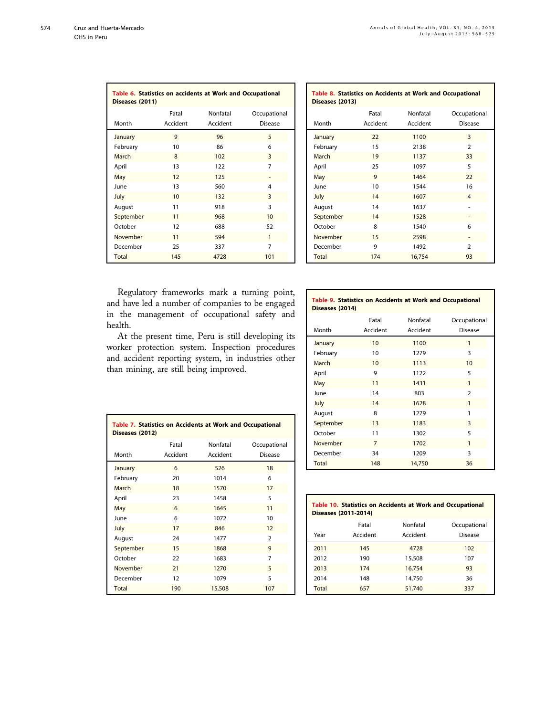<span id="page-6-0"></span>

| Table 6. Statistics on accidents at Work and Occupational<br>Diseases (2011) |                   |                      |                                |
|------------------------------------------------------------------------------|-------------------|----------------------|--------------------------------|
| Month                                                                        | Fatal<br>Accident | Nonfatal<br>Accident | Occupational<br><b>Disease</b> |
| January                                                                      | 9                 | 96                   | 5                              |
| February                                                                     | 10                | 86                   | 6                              |
| March                                                                        | 8                 | 102                  | 3                              |
| April                                                                        | 13                | 122                  | 7                              |
| May                                                                          | 12                | 125                  |                                |
| lune                                                                         | 13                | 560                  | 4                              |
| July                                                                         | 10                | 132                  | 3                              |
| August                                                                       | 11                | 918                  | 3                              |
| September                                                                    | 11                | 968                  | 10                             |
| October                                                                      | 12                | 688                  | 52                             |
| November                                                                     | 11                | 594                  | 1                              |
| December                                                                     | 25                | 337                  | 7                              |
| <b>Total</b>                                                                 | 145               | 4728                 | 101                            |

|                | Table 8. Statistics on Accidents at Work and Occupational |
|----------------|-----------------------------------------------------------|
| Dicance (2012) |                                                           |

| Diseases (2013) |                   |                      |                                |
|-----------------|-------------------|----------------------|--------------------------------|
| Month           | Fatal<br>Accident | Nonfatal<br>Accident | Occupational<br><b>Disease</b> |
| January         | 22                | 1100                 | 3                              |
| February        | 15                | 2138                 | $\overline{2}$                 |
| March           | 19                | 1137                 | 33                             |
| April           | 25                | 1097                 | 5                              |
| May             | 9                 | 1464                 | 22                             |
| June            | 10                | 1544                 | 16                             |
| July            | 14                | 1607                 | $\overline{4}$                 |
| August          | 14                | 1637                 | ۰                              |
| September       | 14                | 1528                 |                                |
| October         | 8                 | 1540                 | 6                              |
| November        | 15                | 2598                 |                                |
| December        | 9                 | 1492                 | $\overline{2}$                 |
| Total           | 174               | 16,754               | 93                             |

Regulatory frameworks mark a turning point, and have led a number of companies to be engaged in the management of occupational safety and health.

At the present time, Peru is still developing its worker protection system. Inspection procedures and accident reporting system, in industries other than mining, are still being improved.

#### Table 9. Statistics on Accidents at Work and Occupational Diseases (2014)

|           | Fatal    | Nonfatal | Occupational   |
|-----------|----------|----------|----------------|
| Month     | Accident | Accident | Disease        |
| January   | 10       | 1100     | 1              |
| February  | 10       | 1279     | 3              |
| March     | 10       | 1113     | 10             |
| April     | 9        | 1122     | 5              |
| May       | 11       | 1431     | 1              |
| June      | 14       | 803      | $\overline{2}$ |
| July      | 14       | 1628     | 1              |
| August    | 8        | 1279     | 1              |
| September | 13       | 1183     | 3              |
| October   | 11       | 1302     | 5              |
| November  | 7        | 1702     | 1              |
| December  | 34       | 1209     | 3              |
| Total     | 148      | 14,750   | 36             |

| Table 7. Statistics on Accidents at Work and Occupational<br>Diseases (2012) |          |          |                |  |
|------------------------------------------------------------------------------|----------|----------|----------------|--|
|                                                                              | Fatal    | Nonfatal | Occupational   |  |
| Month                                                                        | Accident | Accident | <b>Disease</b> |  |
| January                                                                      | 6        | 526      | 18             |  |
| February                                                                     | 20       | 1014     | 6              |  |
| March                                                                        | 18       | 1570     | 17             |  |
| April                                                                        | 23       | 1458     | 5              |  |
| May                                                                          | 6        | 1645     | 11             |  |
| June                                                                         | 6        | 1072     | 10             |  |
| July                                                                         | 17       | 846      | 12             |  |
| August                                                                       | 24       | 1477     | $\overline{2}$ |  |
| September                                                                    | 15       | 1868     | 9              |  |
| October                                                                      | 22       | 1683     | 7              |  |
| November                                                                     | 21       | 1270     | 5              |  |
| December                                                                     | 12       | 1079     | 5              |  |
| <b>Total</b>                                                                 | 190      | 15,508   | 107            |  |

| Table 10. Statistics on Accidents at Work and Occupational<br>Diseases (2011-2014) |          |          |              |  |
|------------------------------------------------------------------------------------|----------|----------|--------------|--|
|                                                                                    | Fatal    | Nonfatal | Occupational |  |
| Year                                                                               | Accident | Accident | Disease      |  |
| 2011                                                                               | 145      | 4728     | 102          |  |
| 2012                                                                               | 190      | 15,508   | 107          |  |
| 2013                                                                               | 174      | 16.754   | 93           |  |
| 2014                                                                               | 148      | 14.750   | 36           |  |
| Total                                                                              | 657      | 51,740   | 337          |  |